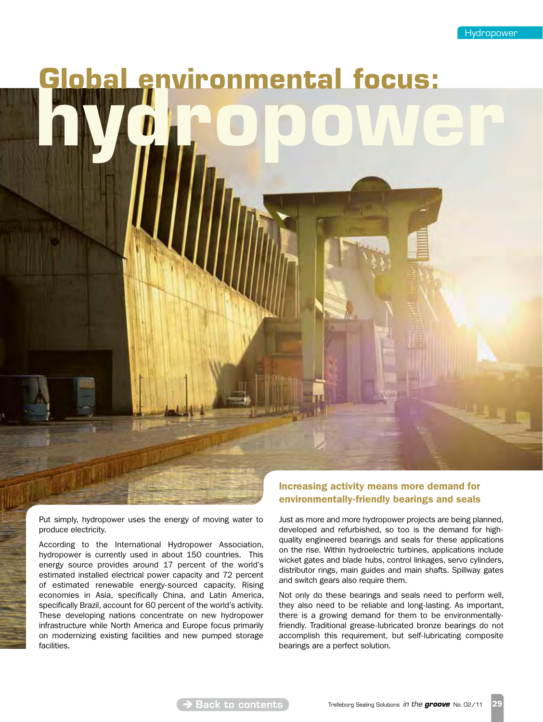# **environmental focus:**

Put simply, hydropower uses the energy of moving water to produce electricity.

According to the International Hydropower Association, hydropower is currently used in about 150 countries. This energy source provides around 17 percent of the world's estimated installed electrical power capacity and 72 percent of estimated renewable energy-sourced capacity. Rising economies in Asia, specifically China, and Latin America, specifically Brazil, account for 60 percent of the world's activity. These developing nations concentrate on new hydropower infrastructure while North America and Europe focus primarily on modernizing existing facilities and new pumped storage facilities.

## Increasing activity means more demand for environmentally-friendly bearings and seals

Just as more and more hydropower projects are being planned, developed and refurbished, so too is the demand for highquality engineered bearings and seals for these applications on the rise. Within hydroelectric turbines, applications include wicket gates and blade hubs, control linkages, servo cylinders, distributor rings, main guides and main shafts. Spillway gates and switch gears also require them.

Not only do these bearings and seals need to perform well, they also need to be reliable and long-lasting. As important, there is a growing demand for them to be environmentallyfriendly. Traditional grease-lubricated bronze bearings do not accomplish this requirement, but self-lubricating composite bearings are a perfect solution.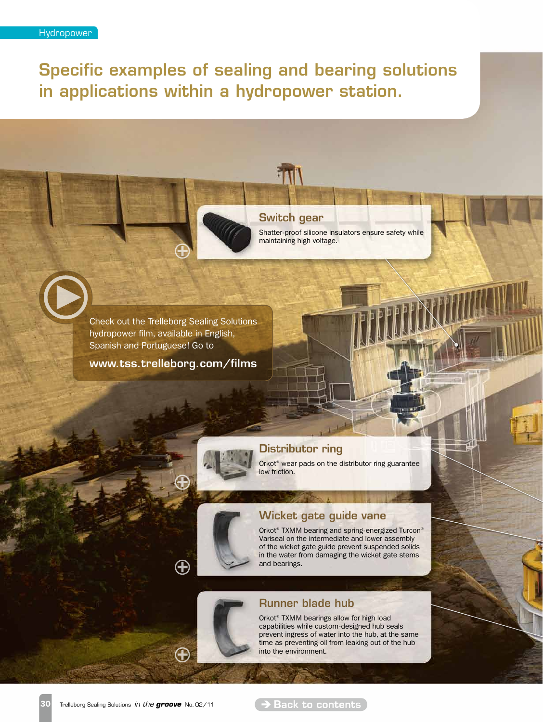Specific examples of sealing and bearing solutions in applications within a hydropower station.

### Switch gear

Shatter-proof silicone insulators ensure safety while maintaining high voltage.

Check out the Trelleborg Sealing Solutions hydropower film, available in English, Spanish and Portuguese! Go to

www.tss.trelleborg.com/films

 $\bigoplus$ 

 $\bigoplus$ 



# Distributor ring

Orkot® wear pads on the distributor ring guarantee low friction.

## Wicket gate guide vane

Orkot<sup>®</sup> TXMM bearing and spring-energized Turcon<sup>®</sup> Variseal on the intermediate and lower assembly of the wicket gate guide prevent suspended solids in the water from damaging the wicket gate stems and bearings.

# Runner blade hub

Orkot® TXMM bearings allow for high load capabilities while custom-designed hub seals prevent ingress of water into the hub, at the same time as preventing oil from leaking out of the hub into the environment.